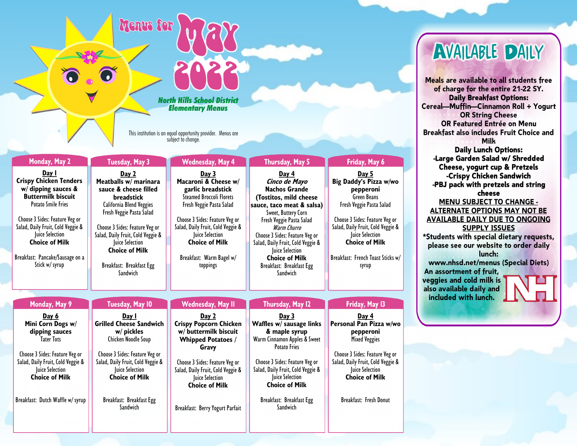Menus for

## *North Hills School District Elementary Menus*

*This institution is an equal opportunity provider. Menus are subject to change.*

| <b>Monday, May 2</b>                                                                                                                                                                                                                                                                             | <b>Tuesday, May 3</b>                                                                                                                                                                                                                                                                           | <b>Wednesday, May 4</b>                                                                                                                                                                                                                                                      | Thursday, May 5                                                                                                                                                                                                                                                                                                                    | Friday, May 6                                                                                                                                                                                                                                                   |
|--------------------------------------------------------------------------------------------------------------------------------------------------------------------------------------------------------------------------------------------------------------------------------------------------|-------------------------------------------------------------------------------------------------------------------------------------------------------------------------------------------------------------------------------------------------------------------------------------------------|------------------------------------------------------------------------------------------------------------------------------------------------------------------------------------------------------------------------------------------------------------------------------|------------------------------------------------------------------------------------------------------------------------------------------------------------------------------------------------------------------------------------------------------------------------------------------------------------------------------------|-----------------------------------------------------------------------------------------------------------------------------------------------------------------------------------------------------------------------------------------------------------------|
| Day I<br><b>Crispy Chicken Tenders</b><br>$w/d$ ipping sauces &<br><b>Buttermilk biscuit</b><br><b>Potato Smile Fries</b><br>Choose 3 Sides: Feature Veg or<br>Salad, Daily Fruit, Cold Veggie &<br>Juice Selection<br><b>Choice of Milk</b><br>Breakfast: Pancake/Sausage on a<br>Stick w/syrup | Day 2<br>Meatballs w/ marinara<br>sauce & cheese filled<br><b>breadstick</b><br>California Blend Veggies<br>Fresh Veggie Pasta Salad<br>Choose 3 Sides: Feature Veg or<br>Salad, Daily Fruit, Cold Veggie &<br>Juice Selection<br><b>Choice of Milk</b><br>Breakfast: Breakfast Egg<br>Sandwich | Day 3<br>Macaroni & Cheese w/<br>garlic breadstick<br><b>Steamed Broccoli Florets</b><br>Fresh Veggie Pasta Salad<br>Choose 3 Sides: Feature Veg or<br>Salad, Daily Fruit, Cold Veggie &<br>Juice Selection<br><b>Choice of Milk</b><br>Breakfast: Warm Bagel w/<br>toppings | Day 4<br>Cinco de Mayo<br><b>Nachos Grande</b><br>(Tostitos, mild cheese<br>sauce, taco meat & salsa)<br>Sweet, Buttery Corn<br>Fresh Veggie Pasta Salad<br>Warm Churro<br>Choose 3 Sides: Feature Veg or<br>Salad, Daily Fruit, Cold Veggie &<br>Juice Selection<br><b>Choice of Milk</b><br>Breakfast: Breakfast Egg<br>Sandwich | Day 5<br>Big Daddy's Pizza w/wo<br>pepperoni<br><b>Green Beans</b><br>Fresh Veggie Pasta Salad<br>Choose 3 Sides: Feature Veg or<br>Salad, Daily Fruit, Cold Veggie &<br>Juice Selection<br><b>Choice of Milk</b><br>Breakfast: French Toast Sticks w/<br>syrup |
|                                                                                                                                                                                                                                                                                                  |                                                                                                                                                                                                                                                                                                 |                                                                                                                                                                                                                                                                              |                                                                                                                                                                                                                                                                                                                                    |                                                                                                                                                                                                                                                                 |
| Monday, May 9                                                                                                                                                                                                                                                                                    | <b>Tuesday, May 10</b>                                                                                                                                                                                                                                                                          | Wednesday, May II                                                                                                                                                                                                                                                            | Thursday, May 12                                                                                                                                                                                                                                                                                                                   | Friday, May 13                                                                                                                                                                                                                                                  |
| Day 6<br>Mini Corn Dogs w/<br>dipping sauces<br><b>Tater Tots</b><br>Choose 3 Sides: Feature Veg or<br>Salad, Daily Fruit, Cold Veggie &<br><b>Juice Selection</b><br><b>Choice of Milk</b>                                                                                                      | Day I<br><b>Grilled Cheese Sandwich</b><br>w/ pickles<br>Chicken Noodle Soup<br>Choose 3 Sides: Feature Veg or<br>Salad, Daily Fruit, Cold Veggie &<br><b>Juice Selection</b><br><b>Choice of Milk</b>                                                                                          | Day 2<br><b>Crispy Popcorn Chicken</b><br>w/ buttermilk biscuit<br><b>Whipped Potatoes /</b><br>Gravy<br>Choose 3 Sides: Feature Veg or<br>Salad, Daily Fruit, Cold Veggie &<br>Juice Selection<br><b>Choice of Milk</b>                                                     | Day 3<br>Waffles w/ sausage links<br>& maple syrup<br>Warm Cinnamon Apples & Sweet<br><b>Potato Fries</b><br>Choose 3 Sides: Feature Veg or<br>Salad, Daily Fruit, Cold Veggie &<br><b>Juice Selection</b><br><b>Choice of Milk</b>                                                                                                | Day 4<br>Personal Pan Pizza w/wo<br>pepperoni<br><b>Mixed Veggies</b><br>Choose 3 Sides: Feature Veg or<br>Salad, Daily Fruit, Cold Veggie &<br>Juice Selection<br><b>Choice of Milk</b>                                                                        |
| Breakfast: Dutch Waffle w/ syrup                                                                                                                                                                                                                                                                 | Breakfast: Breakfast Egg<br>Sandwich                                                                                                                                                                                                                                                            | Breakfast: Berry Yogurt Parfait                                                                                                                                                                                                                                              | Breakfast: Breakfast Egg<br>Sandwich                                                                                                                                                                                                                                                                                               | Breakfast: Fresh Donut                                                                                                                                                                                                                                          |

## **AVAILABLE DAILY**

Meals are available to all students free of charge for the entire 21-22 SY. **Daily Breakfast Options:** Cereal-Muffin-Cinnamon Roll + Yogurt **OR String Cheese** OR Featured Entrée on Menu **Breakfast also includes Fruit Choice and Milk Daily Lunch Options:** -Large Garden Salad w/ Shredded Cheese, yogurt cup & Pretzels -Crispy Chicken Sandwich -PBJ pack with pretzels and string cheese **MENU SUBJECT TO CHANGE -ALTERNATE OPTIONS MAY NOT BE AVAILABLE DAILY DUE TO ONGOING SUPPLY ISSUES** \*Students with special dietary requests, please see our website to order daily lunch: www.nhsd.net/menus (Special Diets) An assortment of fruit, veggies and cold milk is also available daily and included with lunch.